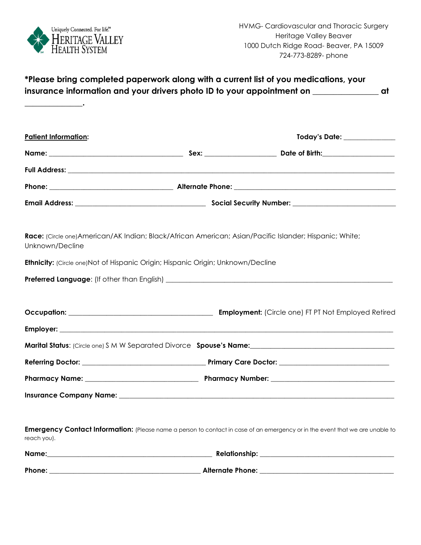

|                                                                                        |  | *Please bring completed paperwork along with a current list of you medications, your                                                    |  |
|----------------------------------------------------------------------------------------|--|-----------------------------------------------------------------------------------------------------------------------------------------|--|
| <b>Patient Information:</b>                                                            |  | Today's Date: ______________                                                                                                            |  |
|                                                                                        |  |                                                                                                                                         |  |
|                                                                                        |  |                                                                                                                                         |  |
|                                                                                        |  |                                                                                                                                         |  |
|                                                                                        |  |                                                                                                                                         |  |
| Unknown/Decline                                                                        |  | Race: (Circle one) American/AK Indian; Black/African American; Asian/Pacific Islander; Hispanic; White;                                 |  |
| <b>Ethnicity:</b> (Circle one)Not of Hispanic Origin; Hispanic Origin; Unknown/Decline |  |                                                                                                                                         |  |
|                                                                                        |  |                                                                                                                                         |  |
|                                                                                        |  |                                                                                                                                         |  |
|                                                                                        |  |                                                                                                                                         |  |
|                                                                                        |  |                                                                                                                                         |  |
|                                                                                        |  | Marital Status: (Circle one) S M W Separated Divorce Spouse's Name: Marital Status: (Circle one) S M W Separated Divorce Spouse's Name: |  |
|                                                                                        |  |                                                                                                                                         |  |
|                                                                                        |  |                                                                                                                                         |  |
|                                                                                        |  |                                                                                                                                         |  |
| reach you).                                                                            |  | <b>Emergency Contact Information:</b> (Please name a person to contact in case of an emergency or in the event that we are unable to    |  |
|                                                                                        |  |                                                                                                                                         |  |
|                                                                                        |  |                                                                                                                                         |  |